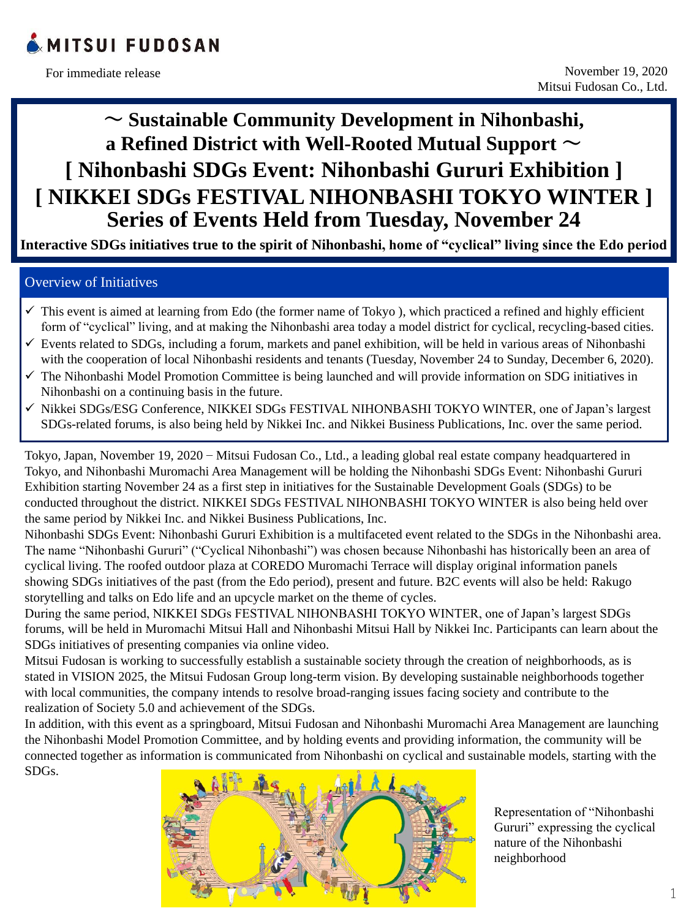

Tokyo, Japan, November 19, 2020 – Mitsui Fudosan Co., Ltd., a leading global real estate company headquartered in Tokyo, and Nihonbashi Muromachi Area Management will be holding the Nihonbashi SDGs Event: Nihonbashi Gururi Exhibition starting November 24 as a first step in initiatives for the Sustainable Development Goals (SDGs) to be conducted throughout the district. NIKKEI SDGs FESTIVAL NIHONBASHI TOKYO WINTER is also being held over the same period by Nikkei Inc. and Nikkei Business Publications, Inc.

Nihonbashi SDGs Event: Nihonbashi Gururi Exhibition is a multifaceted event related to the SDGs in the Nihonbashi area. The name "Nihonbashi Gururi" ("Cyclical Nihonbashi") was chosen because Nihonbashi has historically been an area of cyclical living. The roofed outdoor plaza at COREDO Muromachi Terrace will display original information panels showing SDGs initiatives of the past (from the Edo period), present and future. B2C events will also be held: Rakugo storytelling and talks on Edo life and an upcycle market on the theme of cycles.

During the same period, NIKKEI SDGs FESTIVAL NIHONBASHI TOKYO WINTER, one of Japan's largest SDGs forums, will be held in Muromachi Mitsui Hall and Nihonbashi Mitsui Hall by Nikkei Inc. Participants can learn about the SDGs initiatives of presenting companies via online video.

Mitsui Fudosan is working to successfully establish a sustainable society through the creation of neighborhoods, as is stated in VISION 2025, the Mitsui Fudosan Group long-term vision. By developing sustainable neighborhoods together with local communities, the company intends to resolve broad-ranging issues facing society and contribute to the realization of Society 5.0 and achievement of the SDGs.

- $\checkmark$  This event is aimed at learning from Edo (the former name of Tokyo), which practiced a refined and highly efficient form of "cyclical" living, and at making the Nihonbashi area today a model district for cyclical, recycling-based cities.
- ✓ Events related to SDGs, including a forum, markets and panel exhibition, will be held in various areas of Nihonbashi with the cooperation of local Nihonbashi residents and tenants (Tuesday, November 24 to Sunday, December 6, 2020).
- ✓ The Nihonbashi Model Promotion Committee is being launched and will provide information on SDG initiatives in Nihonbashi on a continuing basis in the future.
- ✓ Nikkei SDGs/ESG Conference, NIKKEI SDGs FESTIVAL NIHONBASHI TOKYO WINTER, one of Japan's largest SDGs-related forums, is also being held by Nikkei Inc. and Nikkei Business Publications, Inc. over the same period.

In addition, with this event as a springboard, Mitsui Fudosan and Nihonbashi Muromachi Area Management are launching the Nihonbashi Model Promotion Committee, and by holding events and providing information, the community will be connected together as information is communicated from Nihonbashi on cyclical and sustainable models, starting with the SDGs.



# **~ Sustainable Community Development in Nihonbashi, a Refined District with Well-Rooted Mutual Support ~ [ Nihonbashi SDGs Event: Nihonbashi Gururi Exhibition ] [ NIKKEI SDGs FESTIVAL NIHONBASHI TOKYO WINTER ] Series of Events Held from Tuesday, November 24**

**Interactive SDGs initiatives true to the spirit of Nihonbashi, home of "cyclical" living since the Edo period**

# Overview of Initiatives

1

Representation of "Nihonbashi Gururi" expressing the cyclical nature of the Nihonbashi neighborhood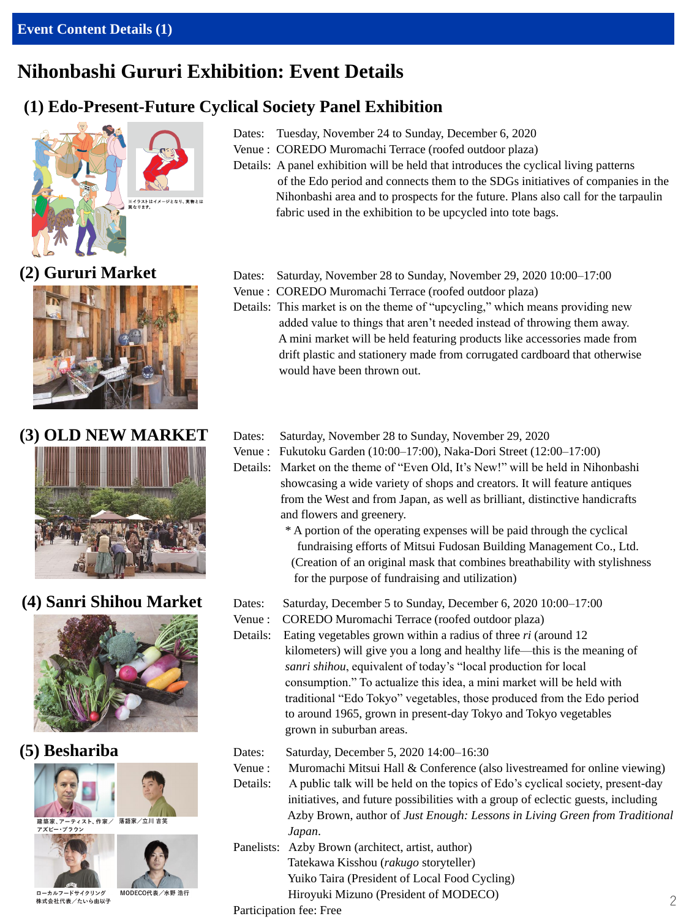## **Event Content Details (1)**

# **Nihonbashi Gururi Exhibition: Event Details**

# **(1) Edo-Present-Future Cyclical Society Panel Exhibition**









Dates: Tuesday, November 24 to Sunday, December 6, 2020

- Venue : COREDO Muromachi Terrace (roofed outdoor plaza)
- Details: A panel exhibition will be held that introduces the cyclical living patterns of the Edo period and connects them to the SDGs initiatives of companies in the Nihonbashi area and to prospects for the future. Plans also call for the tarpaulin fabric used in the exhibition to be upcycled into tote bags.

**(2) Gururi Market** Dates: Saturday, November 28 to Sunday, November 29, 2020 10:00–17:00

- Venue : COREDO Muromachi Terrace (roofed outdoor plaza)
- Details: This market is on the theme of "upcycling," which means providing new added value to things that aren't needed instead of throwing them away. A mini market will be held featuring products like accessories made from drift plastic and stationery made from corrugated cardboard that otherwise would have been thrown out.
- **(3) OLD NEW MARKET** Dates: Saturday, November 28 to Sunday, November 29, 2020
	- Venue : Fukutoku Garden (10:00–17:00), Naka-Dori Street (12:00–17:00)
	- Details: Market on the theme of "Even Old, It's New!" will be held in Nihonbashi showcasing a wide variety of shops and creators. It will feature antiques from the West and from Japan, as well as brilliant, distinctive handicrafts and flowers and greenery.
		- \* A portion of the operating expenses will be paid through the cyclical fundraising efforts of Mitsui Fudosan Building Management Co., Ltd. (Creation of an original mask that combines breathability with stylishness for the purpose of fundraising and utilization)
- **(4) Sanri Shihou Market** Dates: Saturday, December 5 to Sunday, December 6, 2020 10:00–17:00
	- Venue : COREDO Muromachi Terrace (roofed outdoor plaza)
	- Details: Eating vegetables grown within a radius of three *ri* (around 12



建築家、アーティスト、作家/ 落語家/立川 吉笑 アズビー・ブラウン



ローカルフードサイクリング 株式会社代表/たいら由以子

MODECO代表/水野 浩行

- Venue : Muromachi Mitsui Hall & Conference (also livestreamed for online viewing)
- Details: A public talk will be held on the topics of Edo's cyclical society, present-day initiatives, and future possibilities with a group of eclectic guests, including Azby Brown, author of *Just Enough: Lessons in Living Green from Traditional Japan*.
- Panelists: Azby Brown (architect, artist, author) Tatekawa Kisshou (*rakugo* storyteller) Yuiko Taira (President of Local Food Cycling) Hiroyuki Mizuno (President of MODECO) Participation fee: Free

kilometers) will give you a long and healthy life—this is the meaning of *sanri shihou*, equivalent of today's "local production for local consumption." To actualize this idea, a mini market will be held with traditional "Edo Tokyo" vegetables, those produced from the Edo period to around 1965, grown in present-day Tokyo and Tokyo vegetables grown in suburban areas.

# **(5) Beshariba** Dates: Saturday, December 5, 2020 14:00–16:30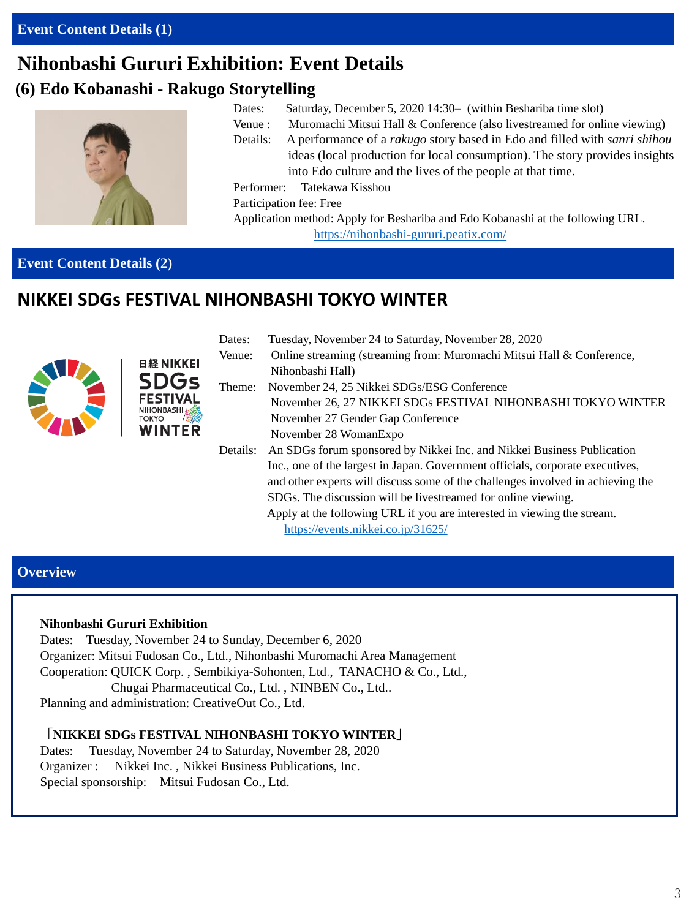# **Nihonbashi Gururi Exhibition: Event Details**

# **(6) Edo Kobanashi - Rakugo Storytelling**

日経 NIKKEI

**DGs** 



- Dates: Saturday, December 5, 2020 14:30 (within Beshariba time slot)
- Venue : Muromachi Mitsui Hall & Conference (also livestreamed for online viewing)
- Details: A performance of a *rakugo* story based in Edo and filled with *sanri shihou* ideas (local production for local consumption). The story provides insights into Edo culture and the lives of the people at that time.

Performer: Tatekawa Kisshou

Participation fee: Free

Application method: Apply for Beshariba and Edo Kobanashi at the following URL.

<https://nihonbashi-gururi.peatix.com/>

## **Overview**

#### **Nihonbashi Gururi Exhibition**

Dates: Tuesday, November 24 to Sunday, December 6, 2020

Organizer: Mitsui Fudosan Co., Ltd., Nihonbashi Muromachi Area Management Cooperation: QUICK Corp. , Sembikiya-Sohonten, Ltd., TANACHO & Co., Ltd., Chugai Pharmaceutical Co., Ltd. , NINBEN Co., Ltd.. Planning and administration: CreativeOut Co., Ltd.

# **「NIKKEI SDGs FESTIVAL NIHONBASHI TOKYO WINTER」**

Dates: Tuesday, November 24 to Saturday, November 28, 2020 Organizer : Nikkei Inc. , Nikkei Business Publications, Inc. Special sponsorship: Mitsui Fudosan Co., Ltd.

| Dates:   | Tuesday, November 24 to Saturday, November 28, 2020                             |
|----------|---------------------------------------------------------------------------------|
| Venue:   | Online streaming (streaming from: Muromachi Mitsui Hall & Conference,           |
|          | Nihonbashi Hall)                                                                |
| Theme:   | November 24, 25 Nikkei SDGs/ESG Conference                                      |
|          | November 26, 27 NIKKEI SDGs FESTIVAL NIHONBASHI TOKYO WINTER                    |
|          | November 27 Gender Gap Conference                                               |
|          | November 28 WomanExpo                                                           |
| Details: | An SDGs forum sponsored by Nikkei Inc. and Nikkei Business Publication          |
|          | Inc., one of the largest in Japan. Government officials, corporate executives,  |
|          | and other experts will discuss some of the challenges involved in achieving the |
|          | SDGs. The discussion will be livestreamed for online viewing.                   |
|          | Apply at the following URL if you are interested in viewing the stream.         |
|          | https://events.nikkei.co.jp/31625/                                              |
|          |                                                                                 |

# **Event Content Details (2)**

# **NIKKEI SDGs FESTIVAL NIHONBASHI TOKYO WINTER**